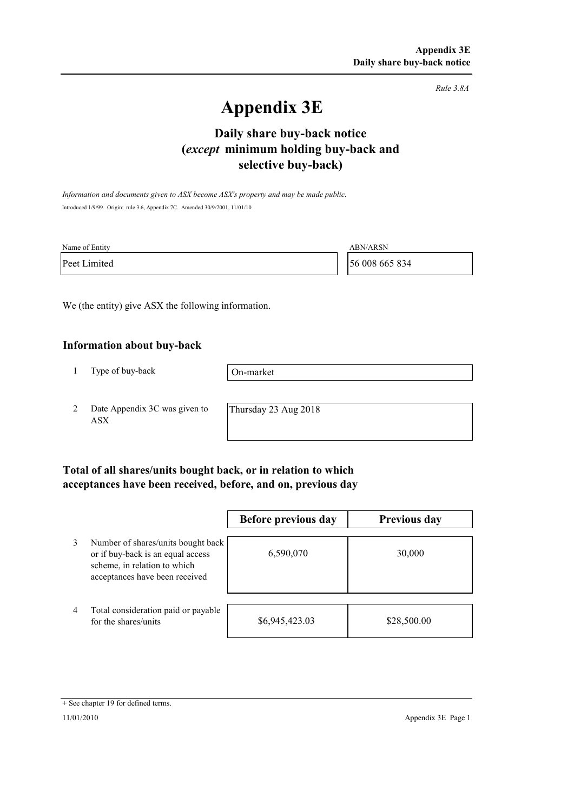*Rule 3.8A*

# **Appendix 3E**

# **selective buy-back) Daily share buy-back notice (***except* **minimum holding buy-back and**

*Information and documents given to ASX become ASX's property and may be made public.* Introduced 1/9/99. Origin: rule 3.6, Appendix 7C. Amended 30/9/2001, 11/01/10

| Name of Entity | <b>ABN/ARSN</b> |
|----------------|-----------------|
| Peet Limited   | 56 008 665 834  |

We (the entity) give ASX the following information.

#### **Information about buy-back**

1 Type of buy-back

On-market

2 Date Appendix 3C was given to ASX

Thursday 23 Aug 2018

### **Total of all shares/units bought back, or in relation to which acceptances have been received, before, and on, previous day**

|   |                                                                                                                                           | Before previous day | <b>Previous day</b> |
|---|-------------------------------------------------------------------------------------------------------------------------------------------|---------------------|---------------------|
| 3 | Number of shares/units bought back<br>or if buy-back is an equal access<br>scheme, in relation to which<br>acceptances have been received | 6,590,070           | 30,000              |
| 4 | Total consideration paid or payable<br>for the shares/units                                                                               | \$6,945,423.03      | \$28,500.00         |

<sup>+</sup> See chapter 19 for defined terms.